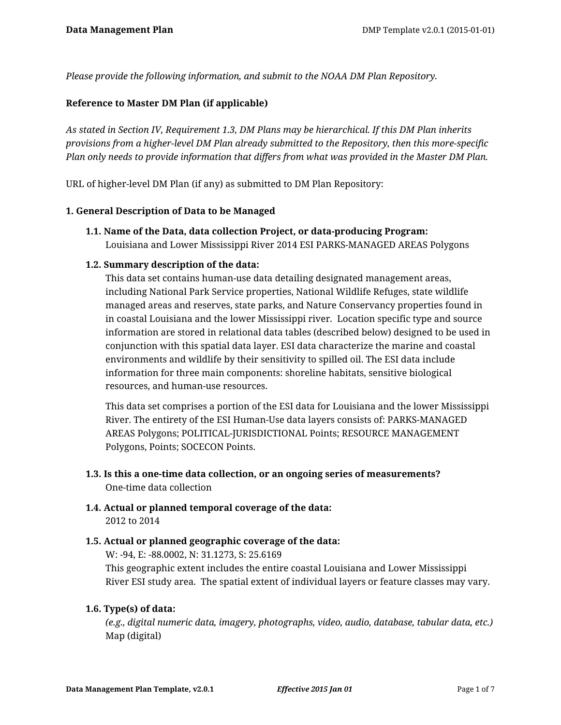*Please provide the following information, and submit to the NOAA DM Plan Repository.*

## **Reference to Master DM Plan (if applicable)**

*As stated in Section IV, Requirement 1.3, DM Plans may be hierarchical. If this DM Plan inherits provisions from a higher-level DM Plan already submitted to the Repository, then this more-specific Plan only needs to provide information that differs from what was provided in the Master DM Plan.*

URL of higher-level DM Plan (if any) as submitted to DM Plan Repository:

#### **1. General Description of Data to be Managed**

**1.1. Name of the Data, data collection Project, or data-producing Program:** Louisiana and Lower Mississippi River 2014 ESI PARKS-MANAGED AREAS Polygons

## **1.2. Summary description of the data:**

This data set contains human-use data detailing designated management areas, including National Park Service properties, National Wildlife Refuges, state wildlife managed areas and reserves, state parks, and Nature Conservancy properties found in in coastal Louisiana and the lower Mississippi river. Location specific type and source information are stored in relational data tables (described below) designed to be used in conjunction with this spatial data layer. ESI data characterize the marine and coastal environments and wildlife by their sensitivity to spilled oil. The ESI data include information for three main components: shoreline habitats, sensitive biological resources, and human-use resources.

This data set comprises a portion of the ESI data for Louisiana and the lower Mississippi River. The entirety of the ESI Human-Use data layers consists of: PARKS-MANAGED AREAS Polygons; POLITICAL-JURISDICTIONAL Points; RESOURCE MANAGEMENT Polygons, Points; SOCECON Points.

- **1.3. Is this a one-time data collection, or an ongoing series of measurements?** One-time data collection
- **1.4. Actual or planned temporal coverage of the data:** 2012 to 2014

## **1.5. Actual or planned geographic coverage of the data:**

W: -94, E: -88.0002, N: 31.1273, S: 25.6169

This geographic extent includes the entire coastal Louisiana and Lower Mississippi River ESI study area. The spatial extent of individual layers or feature classes may vary.

## **1.6. Type(s) of data:**

*(e.g., digital numeric data, imagery, photographs, video, audio, database, tabular data, etc.)* Map (digital)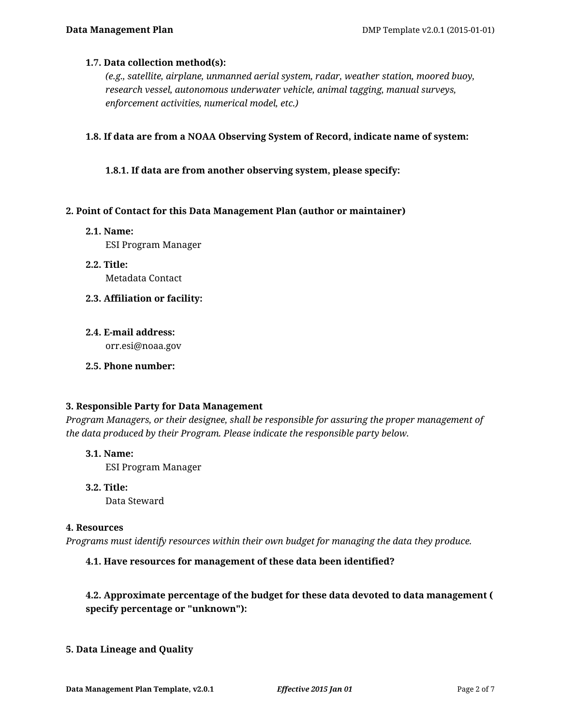### **1.7. Data collection method(s):**

*(e.g., satellite, airplane, unmanned aerial system, radar, weather station, moored buoy, research vessel, autonomous underwater vehicle, animal tagging, manual surveys, enforcement activities, numerical model, etc.)*

**1.8. If data are from a NOAA Observing System of Record, indicate name of system:**

**1.8.1. If data are from another observing system, please specify:**

### **2. Point of Contact for this Data Management Plan (author or maintainer)**

**2.1. Name:**

ESI Program Manager

- **2.2. Title:** Metadata Contact
- **2.3. Affiliation or facility:**
- **2.4. E-mail address:** orr.esi@noaa.gov
- **2.5. Phone number:**

#### **3. Responsible Party for Data Management**

*Program Managers, or their designee, shall be responsible for assuring the proper management of the data produced by their Program. Please indicate the responsible party below.*

- **3.1. Name:** ESI Program Manager
- **3.2. Title:** Data Steward

### **4. Resources**

*Programs must identify resources within their own budget for managing the data they produce.*

## **4.1. Have resources for management of these data been identified?**

## **4.2. Approximate percentage of the budget for these data devoted to data management ( specify percentage or "unknown"):**

## **5. Data Lineage and Quality**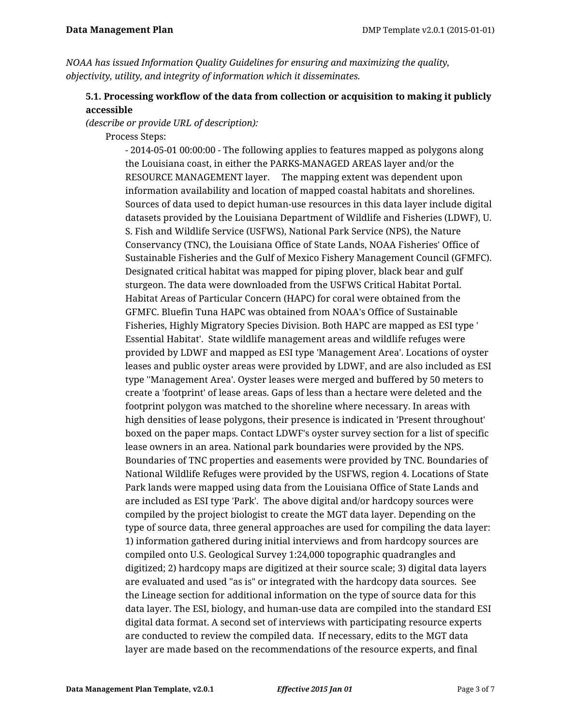*NOAA has issued Information Quality Guidelines for ensuring and maximizing the quality, objectivity, utility, and integrity of information which it disseminates.*

# **5.1. Processing workflow of the data from collection or acquisition to making it publicly accessible**

*(describe or provide URL of description):*

Process Steps:

- 2014-05-01 00:00:00 - The following applies to features mapped as polygons along the Louisiana coast, in either the PARKS-MANAGED AREAS layer and/or the RESOURCE MANAGEMENT layer. The mapping extent was dependent upon information availability and location of mapped coastal habitats and shorelines. Sources of data used to depict human-use resources in this data layer include digital datasets provided by the Louisiana Department of Wildlife and Fisheries (LDWF), U. S. Fish and Wildlife Service (USFWS), National Park Service (NPS), the Nature Conservancy (TNC), the Louisiana Office of State Lands, NOAA Fisheries' Office of Sustainable Fisheries and the Gulf of Mexico Fishery Management Council (GFMFC). Designated critical habitat was mapped for piping plover, black bear and gulf sturgeon. The data were downloaded from the USFWS Critical Habitat Portal. Habitat Areas of Particular Concern (HAPC) for coral were obtained from the GFMFC. Bluefin Tuna HAPC was obtained from NOAA's Office of Sustainable Fisheries, Highly Migratory Species Division. Both HAPC are mapped as ESI type ' Essential Habitat'. State wildlife management areas and wildlife refuges were provided by LDWF and mapped as ESI type 'Management Area'. Locations of oyster leases and public oyster areas were provided by LDWF, and are also included as ESI type ''Management Area'. Oyster leases were merged and buffered by 50 meters to create a 'footprint' of lease areas. Gaps of less than a hectare were deleted and the footprint polygon was matched to the shoreline where necessary. In areas with high densities of lease polygons, their presence is indicated in 'Present throughout' boxed on the paper maps. Contact LDWF's oyster survey section for a list of specific lease owners in an area. National park boundaries were provided by the NPS. Boundaries of TNC properties and easements were provided by TNC. Boundaries of National Wildlife Refuges were provided by the USFWS, region 4. Locations of State Park lands were mapped using data from the Louisiana Office of State Lands and are included as ESI type 'Park'. The above digital and/or hardcopy sources were compiled by the project biologist to create the MGT data layer. Depending on the type of source data, three general approaches are used for compiling the data layer: 1) information gathered during initial interviews and from hardcopy sources are compiled onto U.S. Geological Survey 1:24,000 topographic quadrangles and digitized; 2) hardcopy maps are digitized at their source scale; 3) digital data layers are evaluated and used "as is" or integrated with the hardcopy data sources. See the Lineage section for additional information on the type of source data for this data layer. The ESI, biology, and human-use data are compiled into the standard ESI digital data format. A second set of interviews with participating resource experts are conducted to review the compiled data. If necessary, edits to the MGT data layer are made based on the recommendations of the resource experts, and final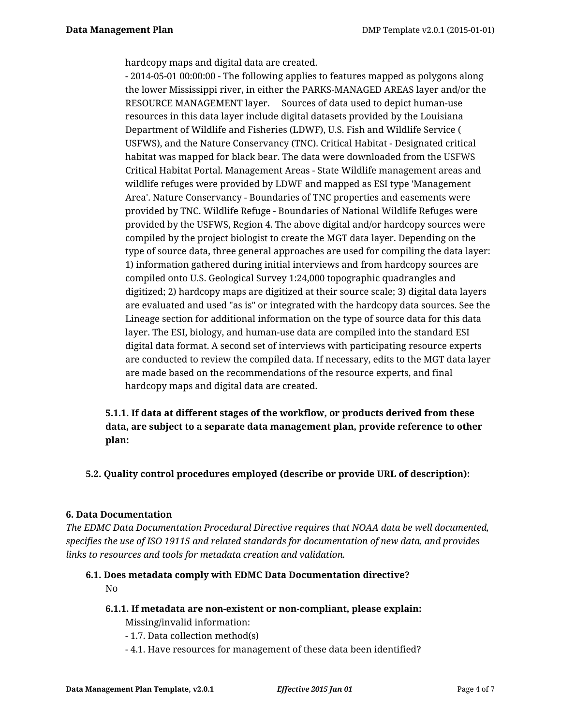hardcopy maps and digital data are created.

- 2014-05-01 00:00:00 - The following applies to features mapped as polygons along the lower Mississippi river, in either the PARKS-MANAGED AREAS layer and/or the RESOURCE MANAGEMENT layer. Sources of data used to depict human-use resources in this data layer include digital datasets provided by the Louisiana Department of Wildlife and Fisheries (LDWF), U.S. Fish and Wildlife Service ( USFWS), and the Nature Conservancy (TNC). Critical Habitat - Designated critical habitat was mapped for black bear. The data were downloaded from the USFWS Critical Habitat Portal. Management Areas - State Wildlife management areas and wildlife refuges were provided by LDWF and mapped as ESI type 'Management Area'. Nature Conservancy - Boundaries of TNC properties and easements were provided by TNC. Wildlife Refuge - Boundaries of National Wildlife Refuges were provided by the USFWS, Region 4. The above digital and/or hardcopy sources were compiled by the project biologist to create the MGT data layer. Depending on the type of source data, three general approaches are used for compiling the data layer: 1) information gathered during initial interviews and from hardcopy sources are compiled onto U.S. Geological Survey 1:24,000 topographic quadrangles and digitized; 2) hardcopy maps are digitized at their source scale; 3) digital data layers are evaluated and used "as is" or integrated with the hardcopy data sources. See the Lineage section for additional information on the type of source data for this data layer. The ESI, biology, and human-use data are compiled into the standard ESI digital data format. A second set of interviews with participating resource experts are conducted to review the compiled data. If necessary, edits to the MGT data layer are made based on the recommendations of the resource experts, and final hardcopy maps and digital data are created.

**5.1.1. If data at different stages of the workflow, or products derived from these data, are subject to a separate data management plan, provide reference to other plan:**

**5.2. Quality control procedures employed (describe or provide URL of description):**

#### **6. Data Documentation**

*The EDMC Data Documentation Procedural Directive requires that NOAA data be well documented, specifies the use of ISO 19115 and related standards for documentation of new data, and provides links to resources and tools for metadata creation and validation.*

#### **6.1. Does metadata comply with EDMC Data Documentation directive?**

No

### **6.1.1. If metadata are non-existent or non-compliant, please explain:** Missing/invalid information:

- 1.7. Data collection method(s)
- 4.1. Have resources for management of these data been identified?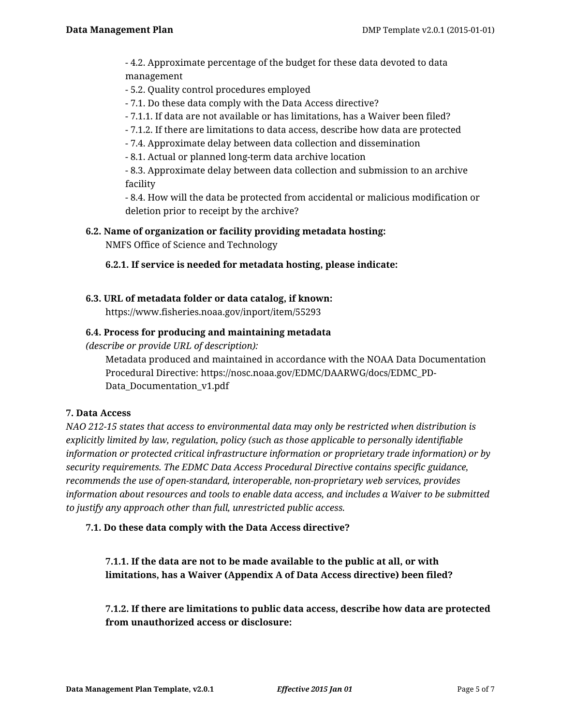- 4.2. Approximate percentage of the budget for these data devoted to data management

- 5.2. Quality control procedures employed

- 7.1. Do these data comply with the Data Access directive?

- 7.1.1. If data are not available or has limitations, has a Waiver been filed?
- 7.1.2. If there are limitations to data access, describe how data are protected
- 7.4. Approximate delay between data collection and dissemination
- 8.1. Actual or planned long-term data archive location

- 8.3. Approximate delay between data collection and submission to an archive facility

- 8.4. How will the data be protected from accidental or malicious modification or deletion prior to receipt by the archive?

**6.2. Name of organization or facility providing metadata hosting:**

NMFS Office of Science and Technology

## **6.2.1. If service is needed for metadata hosting, please indicate:**

# **6.3. URL of metadata folder or data catalog, if known:**

https://www.fisheries.noaa.gov/inport/item/55293

## **6.4. Process for producing and maintaining metadata**

*(describe or provide URL of description):*

Metadata produced and maintained in accordance with the NOAA Data Documentation Procedural Directive: https://nosc.noaa.gov/EDMC/DAARWG/docs/EDMC\_PD-Data\_Documentation\_v1.pdf

## **7. Data Access**

*NAO 212-15 states that access to environmental data may only be restricted when distribution is explicitly limited by law, regulation, policy (such as those applicable to personally identifiable information or protected critical infrastructure information or proprietary trade information) or by security requirements. The EDMC Data Access Procedural Directive contains specific guidance, recommends the use of open-standard, interoperable, non-proprietary web services, provides information about resources and tools to enable data access, and includes a Waiver to be submitted to justify any approach other than full, unrestricted public access.*

## **7.1. Do these data comply with the Data Access directive?**

**7.1.1. If the data are not to be made available to the public at all, or with limitations, has a Waiver (Appendix A of Data Access directive) been filed?**

**7.1.2. If there are limitations to public data access, describe how data are protected from unauthorized access or disclosure:**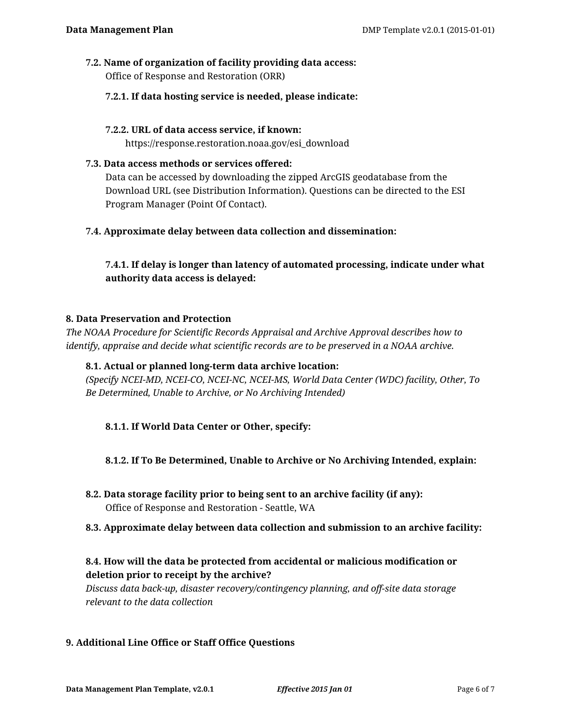### **7.2. Name of organization of facility providing data access:** Office of Response and Restoration (ORR)

## **7.2.1. If data hosting service is needed, please indicate:**

### **7.2.2. URL of data access service, if known:**

https://response.restoration.noaa.gov/esi\_download

### **7.3. Data access methods or services offered:**

Data can be accessed by downloading the zipped ArcGIS geodatabase from the Download URL (see Distribution Information). Questions can be directed to the ESI Program Manager (Point Of Contact).

## **7.4. Approximate delay between data collection and dissemination:**

# **7.4.1. If delay is longer than latency of automated processing, indicate under what authority data access is delayed:**

### **8. Data Preservation and Protection**

*The NOAA Procedure for Scientific Records Appraisal and Archive Approval describes how to identify, appraise and decide what scientific records are to be preserved in a NOAA archive.*

### **8.1. Actual or planned long-term data archive location:**

*(Specify NCEI-MD, NCEI-CO, NCEI-NC, NCEI-MS, World Data Center (WDC) facility, Other, To Be Determined, Unable to Archive, or No Archiving Intended)*

## **8.1.1. If World Data Center or Other, specify:**

## **8.1.2. If To Be Determined, Unable to Archive or No Archiving Intended, explain:**

**8.2. Data storage facility prior to being sent to an archive facility (if any):** Office of Response and Restoration - Seattle, WA

## **8.3. Approximate delay between data collection and submission to an archive facility:**

## **8.4. How will the data be protected from accidental or malicious modification or deletion prior to receipt by the archive?**

*Discuss data back-up, disaster recovery/contingency planning, and off-site data storage relevant to the data collection*

## **9. Additional Line Office or Staff Office Questions**